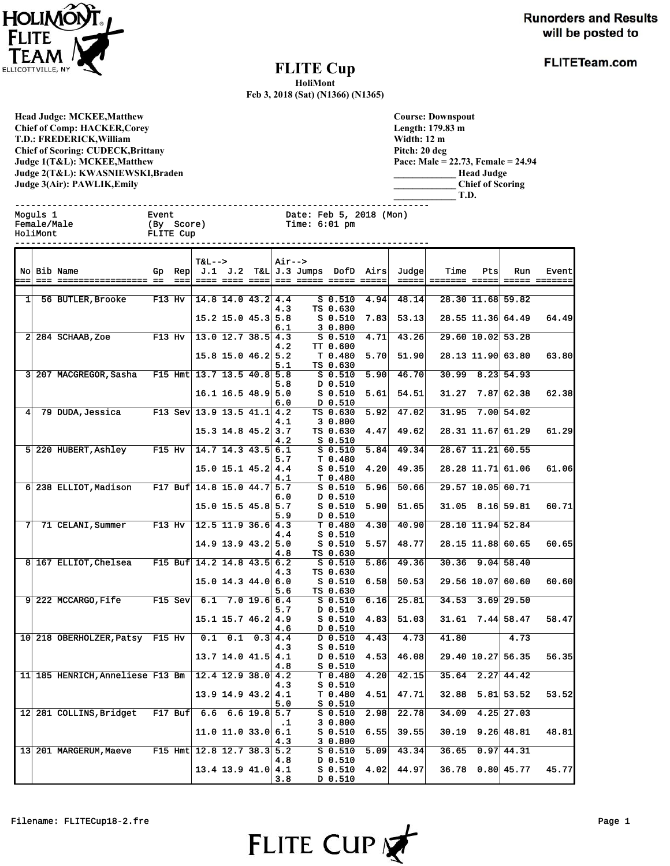

**FLITETeam.com** 

## **FLITE Cup**

**HoliMont**

**Feb 3, 2018 (Sat) (N1366) (N1365)**

**Head Judge: MCKEE,Matthew Chief of Comp: HACKER,Corey T.D.: FREDERICK,William Chief of Scoring: CUDECK,Brittany Judge 1(T&L): MCKEE,Matthew Judge 2(T&L): KWASNIEWSKI,Braden Judge 3(Air): PAWLIK,Emily** 

Female/Male (By Score)<br>HoliMont FLITE Cup

| <b>Course: Downspout</b> |                                    |
|--------------------------|------------------------------------|
| Length: 179.83 m         |                                    |
| Width: 12 m              |                                    |
| Pitch: 20 deg            |                                    |
|                          | Pace: Male = 22.73, Female = 24.94 |
|                          | <b>Head Judge</b>                  |
|                          | <b>Chief of Scoring</b>            |
|                          | T.D.                               |

------------------------------------------------------------------------------ Moguls 1 Event Date: Feb 5, 2018 (Mon) Female/Male (By Score) Time: 6:01 pm

|     |                                                         |          |      | <b>T&amp;L--&gt;</b>         |                      |            | Air-->    |                                       |                    |      |       |               |     |                        |               |
|-----|---------------------------------------------------------|----------|------|------------------------------|----------------------|------------|-----------|---------------------------------------|--------------------|------|-------|---------------|-----|------------------------|---------------|
|     | No Bib Name                                             | Gp       | Rep  |                              |                      |            |           | $J.1$ $J.2$ T&L $J.3$ Jumps DofD Airs |                    |      | Judge | Time          | Pts | Run                    | Event         |
| $=$ |                                                         |          | $==$ |                              | ==== ==== ====       |            |           |                                       |                    |      | ===== | ======= ===== |     |                        | ===== ======= |
|     |                                                         |          |      |                              |                      |            |           |                                       |                    |      |       |               |     |                        |               |
| 1   | 56 BUTLER, Brooke                                       | $F13$ Hv |      |                              | $14.8$ 14.0 43.2 4.4 |            |           |                                       | $S_0.510$          | 4.94 | 48.14 |               |     | 28.30 11.68 59.82      |               |
|     |                                                         |          |      |                              |                      |            | 4.3       |                                       | TS 0.630           |      |       |               |     |                        |               |
|     |                                                         |          |      |                              | $15.2$ 15.0 45.3 5.8 |            |           |                                       | $S$ 0.510          | 7.83 | 53.13 |               |     | 28.55 11.36 64.49      | 64.49         |
|     |                                                         |          |      |                              |                      |            | 6.1       |                                       | 30.800             |      |       |               |     |                        |               |
|     | $2 \mid 284$ SCHAAB, Zoe F13 Hv                         |          |      |                              | $13.0$ 12.7 38.5 4.3 |            |           |                                       | $S_0.510$          | 4.71 | 43.26 |               |     | 29.60 10.02 53.28      |               |
|     |                                                         |          |      |                              |                      |            | 4.2       |                                       | TT 0.600           |      |       |               |     |                        |               |
|     |                                                         |          |      |                              | $15.8$ 15.0 46.2 5.2 |            |           |                                       | T 0.480            | 5.70 | 51.90 |               |     | 28.13 11.90 63.80      | 63.80         |
|     |                                                         |          |      |                              |                      |            | 5.1       |                                       | TS 0.630           |      |       |               |     |                        |               |
|     | 3 207 MACGREGOR, Sasha                                  |          |      | F15 Hmt $13.7$ 13.5 40.8 5.8 |                      |            |           |                                       | $S_0.510$          | 5.90 | 46.70 | 30.99         |     | 8.23 54.93             |               |
|     |                                                         |          |      |                              |                      |            |           |                                       |                    |      |       |               |     |                        |               |
|     |                                                         |          |      |                              |                      |            | 5.8       |                                       | D 0.510            |      |       |               |     |                        |               |
|     |                                                         |          |      |                              | $16.1$ 16.5 48.9 5.0 |            |           |                                       | $S$ 0.510          | 5.61 | 54.51 | 31.27         |     | 7.87 62.38             | 62.38         |
|     |                                                         |          |      |                              |                      |            | 6.0       |                                       | D 0.510            |      |       |               |     |                        |               |
| 4   | 79 DUDA, Jessica F13 Sev 13.9 13.5 41.1 4.2             |          |      |                              |                      |            |           |                                       | TS 0.630           | 5.92 | 47.02 | 31.95         |     | 7.00 54.02             |               |
|     |                                                         |          |      |                              |                      |            | 4.1       |                                       | 30.800             |      |       |               |     |                        |               |
|     |                                                         |          |      |                              | $15.3$ 14.8 45.2 3.7 |            |           |                                       | TS 0.630           | 4.47 | 49.62 |               |     | 28.31 11.67 61.29      | 61.29         |
|     |                                                         |          |      |                              |                      |            | 4.2       |                                       | $S$ 0.510          |      |       |               |     |                        |               |
|     | 5 220 HUBERT, Ashley                                    | $F15$ Hv |      | $ 14.7 \t14.3 \t43.5  6.1$   |                      |            |           |                                       | $S$ 0.510          | 5.84 | 49.34 |               |     | $28.67$ 11.21 60.55    |               |
|     |                                                         |          |      |                              |                      |            | 5.7       |                                       | T 0.480            |      |       |               |     |                        |               |
|     |                                                         |          |      |                              | $15.0$ 15.1 45.2 4.4 |            |           |                                       | $S$ 0.510          | 4.20 | 49.35 |               |     | 28.28 11.71 61.06      | 61.06         |
|     |                                                         |          |      |                              |                      |            | 4.1       |                                       | T 0.480            |      |       |               |     |                        |               |
|     | 6 238 ELLIOT, Madison F17 Buf 14.8 15.0 44.7 5.7        |          |      |                              |                      |            |           |                                       | $S$ 0.510          | 5.96 | 50.66 |               |     | 29.57 10.05 60.71      |               |
|     |                                                         |          |      |                              |                      |            | 6.0       |                                       | D 0.510            |      |       |               |     |                        |               |
|     |                                                         |          |      |                              | $15.0$ 15.5 45.8 5.7 |            |           |                                       | $S$ 0.510          | 5.90 | 51.65 |               |     | $31.05$ $8.16$ 59.81   | 60.71         |
|     |                                                         |          |      |                              |                      |            | 5.9       |                                       | D 0.510            |      |       |               |     |                        |               |
|     | 71 CELANI, Summer                                       | $F13$ Hv |      |                              | $12.5$ 11.9 36.6 4.3 |            |           |                                       | T 0.480            | 4.30 | 40.90 |               |     | 28.10 11.94 52.84      |               |
|     |                                                         |          |      |                              |                      |            | 4.4       |                                       | $S$ 0.510          |      |       |               |     |                        |               |
|     |                                                         |          |      |                              | $14.9$ 13.9 43.2 5.0 |            |           |                                       | $S_0.510$          | 5.57 | 48.77 |               |     | 28.15 11.88 60.65      | 60.65         |
|     |                                                         |          |      |                              |                      |            | 4.8       |                                       | TS 0.630           |      |       |               |     |                        |               |
|     | 8 167 ELLIOT, Chelsea F15 Buf 14.2 14.8 43.5 6.2        |          |      |                              |                      |            |           |                                       | $S$ $0.510$        | 5.86 | 49.36 |               |     | $30.36$ 9.04 58.40     |               |
|     |                                                         |          |      |                              |                      |            | 4.3       |                                       | TS 0.630           |      |       |               |     |                        |               |
|     |                                                         |          |      |                              | $15.0$ 14.3 44.0 6.0 |            |           |                                       | $S$ 0.510          | 6.58 | 50.53 |               |     | 29.56 10.07 60.60      | 60.60         |
|     |                                                         |          |      |                              |                      |            | 5.6       |                                       | TS 0.630           |      |       |               |     |                        |               |
|     | $9 222$ MCCARGO, Fife F15 Sev                           |          |      | 6.1                          |                      | 7.019.66.4 |           |                                       | $S$ 0.510          | 6.16 | 25.81 | 34.53         |     | $3.69$ 29.50           |               |
|     |                                                         |          |      |                              |                      |            | 5.7       |                                       | D 0.510            |      |       |               |     |                        |               |
|     |                                                         |          |      |                              | $15.1$ 15.7 46.2 4.9 |            |           |                                       | $S_0.510$          | 4.83 | 51.03 | 31.61         |     | $7.44$ 58.47           | 58.47         |
|     |                                                         |          |      |                              |                      |            | 4.6       |                                       | D 0.510            |      |       |               |     |                        |               |
|     | 10 218 OBERHOLZER, Patsy F15 Hv $\vert$ 0.1 0.1 0.3 4.4 |          |      |                              |                      |            |           |                                       | $D$ 0.510          | 4.43 | 4.73  | 41.80         |     | 4.73                   |               |
|     |                                                         |          |      |                              |                      |            | 4.3       |                                       | $S$ 0.510          |      |       |               |     |                        |               |
|     |                                                         |          |      |                              | $13.7$ 14.0 41.5 4.1 |            |           |                                       | D 0.510            | 4.53 | 46.08 |               |     | 29.40 10.27 56.35      | 56.35         |
|     |                                                         |          |      |                              |                      |            | 4.8       |                                       | $S$ 0.510          |      |       |               |     |                        |               |
|     | 11 185 HENRICH, Anneliese F13 Bm   12.4 12.9 38.0 4.2   |          |      |                              |                      |            |           |                                       | T 0.480            | 4.20 | 42.15 |               |     | $35.64$ $2.27$ $44.42$ |               |
|     |                                                         |          |      |                              |                      |            | 4.3       |                                       | $S_0.510$          |      |       |               |     |                        |               |
|     |                                                         |          |      |                              | $13.9$ 14.9 43.2 4.1 |            |           |                                       | T 0.480            | 4.51 | 47.71 | 32.88         |     | $5.81$ 53.52           | 53.52         |
|     |                                                         |          |      |                              |                      |            | 5.0       |                                       | $S$ 0.510          |      |       |               |     |                        |               |
|     | 12 281 COLLINS, Bridget F17 Buf 6.6 6.6 19.8 5.7        |          |      |                              |                      |            |           |                                       | $S$ 0.510          | 2.98 | 22.78 | 34.09         |     | $4.25$ 27.03           |               |
|     |                                                         |          |      |                              |                      |            |           |                                       | 30.800             |      |       |               |     |                        |               |
|     |                                                         |          |      |                              |                      |            | $\cdot$ 1 |                                       |                    |      | 39.55 |               |     | $30.19$ $9.26$ 48.81   | 48.81         |
|     |                                                         |          |      |                              | $11.0$ 11.0 33.0 6.1 |            |           |                                       | $S$ 0.510          | 6.55 |       |               |     |                        |               |
|     |                                                         |          |      |                              |                      |            | 4.3       |                                       | 3 0.800            |      |       | 36.65         |     | 0.97 44.31             |               |
|     | 13 201 MARGERUM, Maeve                                  |          |      | F15 Hmt $12.8$ 12.7 38.3 5.2 |                      |            |           |                                       | S <sub>0.510</sub> | 5.09 | 43.34 |               |     |                        |               |
|     |                                                         |          |      |                              |                      |            | 4.8       |                                       | D 0.510            |      |       |               |     |                        |               |
|     |                                                         |          |      |                              | $13.4$ 13.9 41.0 4.1 |            |           |                                       | $S$ 0.510          | 4.02 | 44.97 |               |     | 36.78 0.80 45.77       | 45.77         |
|     |                                                         |          |      |                              |                      |            | 3.8       |                                       | D 0.510            |      |       |               |     |                        |               |

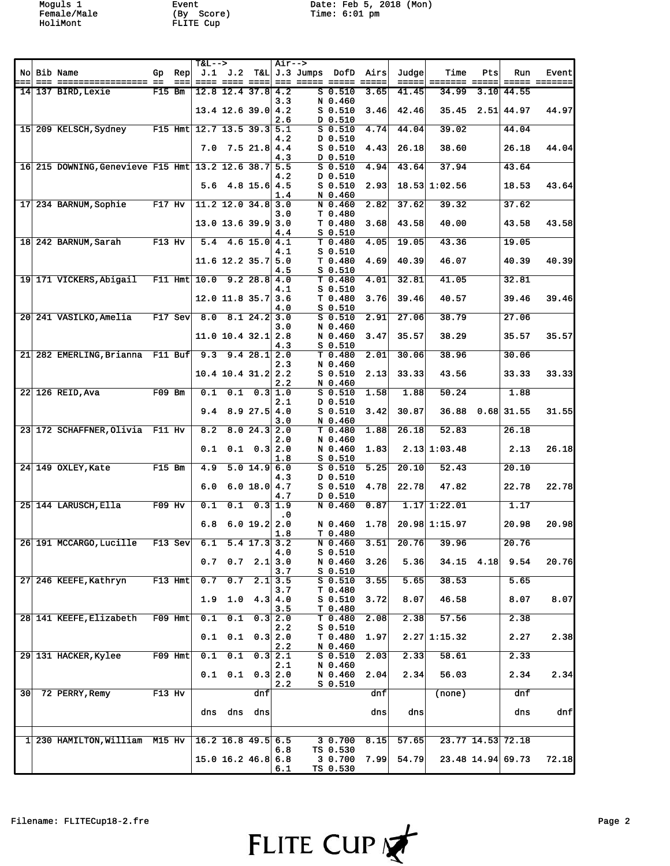HoliMont FLITE Cup

Moguls 1 Event Date: Feb 5, 2018 (Mon) Female/Male (By Score) Time: 6:01 pm

|                 |                                                  |                     |           | $T&L--$                      |                                                             |                  |                | Air-->             |                               |                             |       |                 |              |                      |            |
|-----------------|--------------------------------------------------|---------------------|-----------|------------------------------|-------------------------------------------------------------|------------------|----------------|--------------------|-------------------------------|-----------------------------|-------|-----------------|--------------|----------------------|------------|
|                 | No Bib Name                                      |                     | Gp Rep    |                              | J.1 J.2                                                     |                  |                | T&L J.3 Jumps DofD |                               | Airs                        | Judge | Time            | Pts          | Run                  | Event      |
|                 | $14$ 137 BIRD, Lexie                             | $F15$ Bm            | $==$      |                              | ==== ==== ====<br>$12.8$ 12.4 37.8 4.2                      |                  |                |                    | $S$ 0.510                     | $=$ $=$ $=$ $=$ $=$<br>3.65 | 41.45 | 34.99           |              | $==$<br>$3.10$ 44.55 | == ======= |
|                 |                                                  |                     |           |                              |                                                             |                  | 3.3            |                    | N 0.460                       |                             |       |                 |              |                      |            |
|                 |                                                  |                     |           |                              | $13.4$ 12.6 39.0 4.2                                        |                  | 2.6            |                    | $S$ 0.510<br>D 0.510          | 3.46                        | 42.46 | 35.45           |              | $2.51$ 44.97         | 44.97      |
|                 | 15 209 KELSCH, Sydney                            |                     |           | F15 Hmt $12.7$ 13.5 39.3 5.1 |                                                             |                  |                |                    | $S$ 0.510                     | 4.74                        | 44.04 | 39.02           |              | 44.04                |            |
|                 |                                                  |                     |           |                              |                                                             |                  | 4.2            |                    | D 0.510                       |                             |       |                 |              |                      |            |
|                 |                                                  |                     |           | 7.0                          |                                                             | $7.5$ 21.8 4.4   | 4.3            |                    | $S_0.510$<br>D 0.510          | 4.43                        | 26.18 | 38.60           |              | 26.18                | 44.04      |
|                 | 16 215 DOWNING, Genevieve F15 Hmt 13.2 12.6 38.7 |                     |           |                              |                                                             |                  | 5.5            |                    | S <sub>0.510</sub>            | 4.94                        | 43.64 | 37.94           |              | 43.64                |            |
|                 |                                                  |                     |           | 5.6                          |                                                             |                  | 4.2            |                    | $D$ 0.510                     |                             |       | $18.53$ 1:02.56 |              |                      |            |
|                 |                                                  |                     |           |                              |                                                             | $4.8$ 15.6 4.5   | 1.4            |                    | $S$ 0.510<br>N 0.460          | 2.93                        |       |                 |              | 18.53                | 43.64      |
|                 | 17 234 BARNUM Sophie                             | $F17$ Hv            |           |                              | $11.2$ 12.0 34.8 3.0                                        |                  |                |                    | N 0.460                       | 2.82                        | 37.62 | 39.32           |              | 37.62                |            |
|                 |                                                  |                     |           |                              | $13.0$ 13.6 39.9                                            |                  | 3.0<br>3.0     |                    | T 0.480<br>T <sub>0.480</sub> | 3.68                        | 43.58 | 40.00           |              | 43.58                | 43.58      |
|                 |                                                  |                     |           |                              |                                                             |                  | 4.4            |                    | $S_0.510$                     |                             |       |                 |              |                      |            |
|                 | 18 242 BARNUM, Sarah                             | $F13$ Hv            |           | 5.4                          |                                                             | $4.6$ 15.0 $4.1$ |                |                    | $T$ 0.480                     | 4.05                        | 19.05 | 43.36           |              | 19.05                |            |
|                 |                                                  |                     |           |                              | $11.6$ 12.2 35.7 5.0                                        |                  | 4.1            |                    | $S_0.510$<br>T 0.480          | 4.69                        | 40.39 | 46.07           |              | 40.39                | 40.39      |
|                 |                                                  |                     |           |                              |                                                             |                  | 4.5            |                    | $S_0.510$                     |                             |       |                 |              |                      |            |
|                 | 19 171 VICKERS, Abigail                          |                     |           | $F11$ Hmt $10.0$             |                                                             | $9.2$ 28.8 4.0   | 4.1            |                    | $T$ 0.480<br>$S_0.510$        | 4.01                        | 32.81 | 41.05           |              | 32.81                |            |
|                 |                                                  |                     |           |                              | $12.0$ 11.8 35.7 3.6                                        |                  |                |                    | T <sub>0.480</sub>            | 3.76                        | 39.46 | 40.57           |              | 39.46                | 39.46      |
|                 |                                                  |                     |           |                              |                                                             |                  | 4.0            |                    | $S$ 0.510                     |                             |       |                 |              |                      |            |
|                 | 20 241 VASILKO, Amelia                           |                     | $FI7$ Sev | 8.0                          |                                                             | $8.1$ 24.2 3.0   | 3.0            |                    | $S$ 0.510<br>N 0.460          | 2.91                        | 27.06 | 38.79           |              | 27.06                |            |
|                 |                                                  |                     |           |                              | $11.0$ 10.4 32.1 2.8                                        |                  |                |                    | N 0.460                       | 3.47                        | 35.57 | 38.29           |              | 35.57                | 35.57      |
|                 | 21 282 EMERLING, Brianna F11 Buf                 |                     |           |                              |                                                             | 9.428.12.0       | 4.3            |                    | $S$ 0.510<br>$T$ 0.480        |                             | 30.06 | 38.96           |              | 30.06                |            |
|                 |                                                  |                     |           | 9.3                          |                                                             |                  | 2.3            |                    | N 0.460                       | 2.01                        |       |                 |              |                      |            |
|                 |                                                  |                     |           |                              | $10.4$ 10.4 31.2 2.2                                        |                  |                |                    | S <sub>0.510</sub>            | 2.13                        | 33.33 | 43.56           |              | 33.33                | 33.33      |
|                 | $22$ 126 REID, Ava                               | $F09$ Bm            |           | 0.1                          | 0.1                                                         |                  | 2.2<br>0.31.0  |                    | N 0.460<br>$S$ 0.510          | 1.58                        | 1.88  | 50.24           |              | 1.88                 |            |
|                 |                                                  |                     |           |                              |                                                             |                  | 2.1            |                    | D 0.510                       |                             |       |                 |              |                      |            |
|                 |                                                  |                     |           | 9.4                          |                                                             | $8.9$ 27.5 4.0   |                |                    | $S$ 0.510                     | 3.42                        | 30.87 | 36.88           |              | $0.68$ 31.55         | 31.55      |
|                 | 23 172 SCHAFFNER, Olivia F11 Hv                  |                     |           | 8.2                          |                                                             | 8.024.32.0       | 3.0            |                    | N 0.460<br>T 0.480            | 1.88                        | 26.18 | 52.83           |              | 26.18                |            |
|                 |                                                  |                     |           |                              |                                                             |                  | 2.0            |                    | N 0.460                       |                             |       |                 |              |                      |            |
|                 |                                                  |                     |           | 0.1                          | 0.1                                                         |                  | 0.3 2.0<br>1.8 |                    | N 0.460<br>$S_0.510$          | 1.83                        |       | $2.13$ 1:03.48  |              | 2.13                 | 26.18      |
|                 | 24 149 OXLEY, Kate                               | $F15$ Bm            |           | 4.9                          |                                                             | $5.0$ 14.9 6.0   |                |                    | $S$ 0.510                     | 5.25                        | 20.10 | 52.43           |              | 20.10                |            |
|                 |                                                  |                     |           |                              |                                                             |                  | 4.3            |                    | D 0.510                       |                             |       |                 |              |                      |            |
|                 |                                                  |                     |           | 6.0                          |                                                             | 6.0 18.0         | 4.7<br>4.7     |                    | $S$ $0.510$<br>D 0.510        | 4.78                        | 22.78 | 47.82           |              | 22.78                | 22.78      |
|                 | 25 144 LARUSCH, Ella                             | $\overline{F09}$ Hv |           | 0.1                          | 0.1                                                         |                  | 0.3 1.9        |                    | N 0.460                       | 0.87                        |       | $1.17$ 1:22.01  |              | 1.17                 |            |
|                 |                                                  |                     |           | 6.8                          |                                                             | 6.0 19.2 2.0     | $\cdot$ 0      |                    | N 0.460                       | 1.78                        |       | $20.98$ 1:15.97 |              | 20.98                | 20.98      |
|                 |                                                  |                     |           |                              |                                                             |                  | 1.8            |                    | T 0.480                       |                             |       |                 |              |                      |            |
|                 | 26 191 MCCARGO.Lucille                           |                     | F13 Sev   | 6.1                          |                                                             | $5.4$ 17.3 3.2   |                |                    | N 0.460                       | 3.51                        | 20.76 | 39.96           |              | 20.76                |            |
|                 |                                                  |                     |           |                              | $0.7 \quad 0.7 \quad 2.1$                                   |                  | 4.0<br>3.0     |                    | $S_0.510$<br>N 0.460          | 3.26                        | 5.36  |                 | $34.15$ 4.18 | 9.54                 | 20.76      |
|                 |                                                  |                     |           |                              |                                                             |                  | 3.7            |                    | $S_0.510$                     |                             |       |                 |              |                      |            |
|                 | 27 246 KEEFE, Kathryn                            |                     | $F13$ Hmt | 0.7                          | 0.7                                                         | 2.1              | 3.5            |                    | $S_0.510$                     | 3.55                        | 5.65  | 38.53           |              | 5.65                 |            |
|                 |                                                  |                     |           | 1.9                          | 1.0                                                         |                  | 3.7<br>4.3 4.0 |                    | T 0.480<br>$S$ 0.510          | 3.72                        | 8.07  | 46.58           |              | 8.07                 | 8.07       |
|                 |                                                  |                     |           |                              |                                                             |                  | 3.5            |                    | T 0.480                       |                             |       |                 |              |                      |            |
|                 | 28 141 KEEFE, Elizabeth                          |                     | $F09$ Hmt | 0.1                          | 0.1                                                         |                  | 0.3 2.0<br>2.2 |                    | T 0.480<br>$S$ 0.510          | 2.08                        | 2.38  | 57.56           |              | 2.38                 |            |
|                 |                                                  |                     |           | 0.1                          | 0.1                                                         | 0.3              | 2.0            |                    | T 0.480                       | 1.97                        |       | $2.27$ 1:15.32  |              | 2.27                 | 2.38       |
|                 | 29 131 HACKER, Kylee                             |                     | F09 Hmt   | 0.1                          | 0.1                                                         | 0.3              | 2.2<br>2.1     |                    | N 0.460<br>$S$ 0.510          | 2.03                        | 2.33  | 58.61           |              | 2.33                 |            |
|                 |                                                  |                     |           |                              |                                                             |                  | 2.1            |                    | N 0.460                       |                             |       |                 |              |                      |            |
|                 |                                                  |                     |           |                              | $0.1\quad 0.1$                                              |                  | 0.3   2.0      |                    | N 0.460                       | 2.04                        | 2.34  | 56.03           |              | 2.34                 | 2.34       |
| 30 <sup>1</sup> | 72 PERRY, Remy                                   | F13 Hv              |           |                              |                                                             | dnf              | 2.2            |                    | S 0.510                       | dnf                         |       | (none)          |              | dnf                  |            |
|                 |                                                  |                     |           |                              |                                                             |                  |                |                    |                               |                             |       |                 |              |                      |            |
|                 |                                                  |                     |           | dns                          |                                                             | dns dns          |                |                    |                               | dns                         | dns   |                 |              | dns                  | dnf        |
|                 |                                                  |                     |           |                              |                                                             |                  |                |                    |                               |                             |       |                 |              |                      |            |
|                 | 1 230 HAMILTON, William M15 Hv                   |                     |           |                              | $16.2$ $\overline{16.8}$ $\overline{49.5}$ $\overline{6.5}$ |                  |                |                    | 30.700                        | 8.15                        | 57.65 |                 |              | 23.77 14.53 72.18    |            |
|                 |                                                  |                     |           |                              | $15.0$ 16.2 46.8 6.8                                        |                  | 6.8            |                    | TS 0.530<br>3 0.700           | 7.99                        | 54.79 |                 |              | 23.48 14.94 69.73    | 72.18      |
|                 |                                                  |                     |           |                              |                                                             |                  | 6.1            |                    | TS 0.530                      |                             |       |                 |              |                      |            |

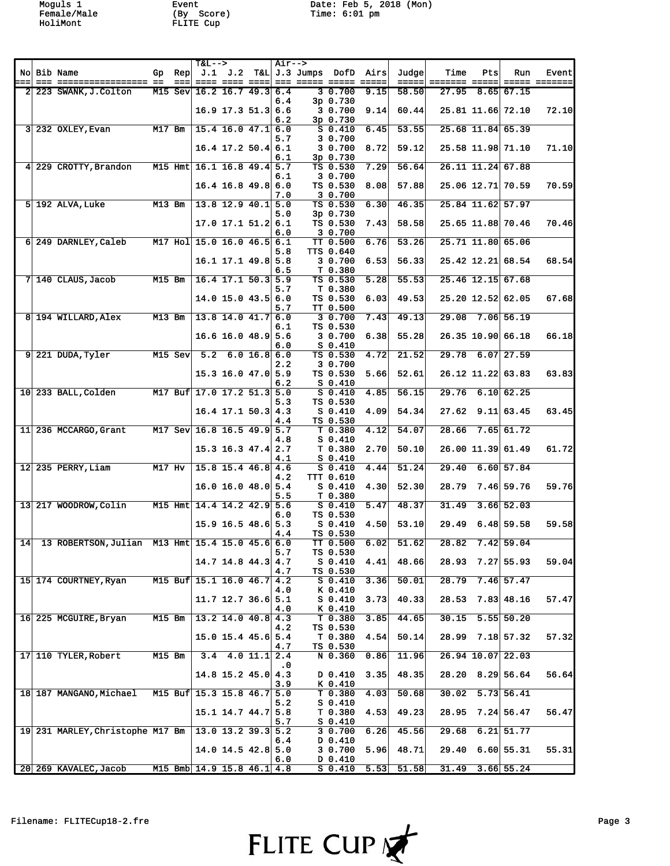HoliMont FLITE Cup

Moguls 1 Event Date: Feb 5, 2018 (Mon) Female/Male (By Score) Time: 6:01 pm

|     |                                                       |          |           |                            | <b>T&amp;L--&gt;</b>       |             | $\overline{\text{Air}} \rightarrow$ |                    |                             |                     |                    |                                                                  |       |                                                    |                   |
|-----|-------------------------------------------------------|----------|-----------|----------------------------|----------------------------|-------------|-------------------------------------|--------------------|-----------------------------|---------------------|--------------------|------------------------------------------------------------------|-------|----------------------------------------------------|-------------------|
|     | No Bib Name                                           | Gp       | Rep       |                            | J.1 J.2                    |             |                                     | T&L J.3 Jumps DofD |                             | Airs                | Judge              | Time                                                             | Pts   | Run                                                | Event             |
| === |                                                       |          | $==$      |                            | ==== ==== ====             |             |                                     |                    |                             | $=$ $=$ $=$ $=$ $=$ | $= = = = =$        | $\qquad \qquad \equiv \equiv \equiv \equiv \equiv \equiv \equiv$ | ===== | $\qquad \qquad \equiv \equiv \equiv \equiv \equiv$ | $= = = = = = = =$ |
|     | 2 223 SWANK, J. Colton                                |          | $M15$ Sev |                            | $16.2$ 16.7 49.3 6.4       |             | 6.4                                 |                    | 30.700<br>3p 0.730          | 9.15                | 58.50              | 27.95                                                            |       | $8.65$ 67.15                                       |                   |
|     |                                                       |          |           |                            | $16.9$ 17.3 51.3 6.6       |             |                                     |                    | 3 0.700                     | 9.14                | 60.44              |                                                                  |       | 25.81 11.66 72.10                                  | 72.10             |
|     |                                                       |          |           |                            |                            |             | 6.2                                 |                    | 3p 0.730                    |                     |                    |                                                                  |       |                                                    |                   |
|     | $3 232$ OXLEY, Evan                                   | M17 Bm   |           |                            | $15.4$ 16.0 $47.1$ 6.0     |             |                                     |                    | $S$ 0.410                   | 6.45                | 53.55              |                                                                  |       | 25.68 11.84 65.39                                  |                   |
|     |                                                       |          |           |                            | $16.4$ 17.2 50.4 6.1       |             | 5.7                                 |                    | 3 0.700<br>3 0.700          | 8.72                | 59.12              |                                                                  |       | 25.58 11.98 71.10                                  | 71.10             |
|     |                                                       |          |           |                            |                            |             | 6.1                                 |                    | 3p 0.730                    |                     |                    |                                                                  |       |                                                    |                   |
|     | 4 229 CROTTY, Brandon                                 |          |           | M15 Hmt 16.1 16.8 49.4 5.7 |                            |             |                                     |                    | TS 0.530                    | 7.29                | 56.64              |                                                                  |       | 26.11 11.24 67.88                                  |                   |
|     |                                                       |          |           |                            |                            |             | 6.1                                 |                    | 3 0.700                     |                     |                    |                                                                  |       |                                                    |                   |
|     |                                                       |          |           |                            | $16.4$ 16.8 49.8 6.0       |             |                                     |                    | TS 0.530                    | 8.08                | 57.88              |                                                                  |       | 25.06 12.71 70.59                                  | 70.59             |
|     | 5 192 ALVA Luke                                       | $M13$ Bm |           |                            | $13.8$ 12.9 40.1           |             | 7.0<br>5.0                          |                    | 3 0.700<br>TS 0.530         | 6.30                | 46.35              |                                                                  |       | 25.84 11.62 57.97                                  |                   |
|     |                                                       |          |           |                            |                            |             | 5.0                                 |                    | 3p 0.730                    |                     |                    |                                                                  |       |                                                    |                   |
|     |                                                       |          |           |                            | $17.0$ $17.1$ $51.2$ 6.1   |             |                                     |                    | TS 0.530                    | 7.43                | 58.58              |                                                                  |       | 25.65 11.88 70.46                                  | 70.46             |
|     |                                                       |          |           |                            |                            |             | 6.0                                 |                    | 3 0.700                     |                     |                    |                                                                  |       |                                                    |                   |
|     | 6 249 DARNLEY, Caleb                                  |          |           | M17 Hol 15.0 16.0 46.5 6.1 |                            |             | 5.8                                 |                    | TT 0.500<br>TTS 0.640       | 6.76                | 53.26              |                                                                  |       | 25.71 11.80 65.06                                  |                   |
|     |                                                       |          |           |                            | 16.1 17.1 49.8 5.8         |             |                                     |                    | 3 0.700                     | 6.53                | 56.33              |                                                                  |       | 25.42 12.21 68.54                                  | 68.54             |
|     |                                                       |          |           |                            |                            |             | 6.5                                 |                    | T 0.380                     |                     |                    |                                                                  |       |                                                    |                   |
|     | $7 140$ CLAUS, Jacob                                  | $M15$ Bm |           |                            | $16.4$ 17.1 50.3 5.9       |             |                                     |                    | TS 0.530                    | 5.28                | 55.53              |                                                                  |       | $25.46$ 12.15 67.68                                |                   |
|     |                                                       |          |           |                            | $14.0$ 15.0 $43.5$ 6.0     |             | 5.7                                 |                    | T 0.380<br>TS 0.530         | 6.03                | 49.53              |                                                                  |       | 25.20 12.52 62.05                                  | 67.68             |
|     |                                                       |          |           |                            |                            |             | 5.7                                 |                    | TT 0.500                    |                     |                    |                                                                  |       |                                                    |                   |
|     | 8 194 WILLARD, Alex                                   | $M13$ Bm |           |                            | $13.8$ 14.0 41.7           |             | 6.0                                 |                    | 3 0.700                     | 7.43                | 49.13              | 29.08                                                            |       | $7.06$ 56.19                                       |                   |
|     |                                                       |          |           |                            |                            |             | 6.1                                 |                    | TS 0.530                    |                     |                    |                                                                  |       |                                                    |                   |
|     |                                                       |          |           |                            | 16.6 16.0 48.9             |             | 5.6                                 |                    | 3 0.700                     | 6.38                | 55.28              |                                                                  |       | 26.35 10.90 66.18                                  | 66.18             |
|     | 9 221 DUDA, Tyler                                     |          | $M15$ Sev | 5.2                        |                            | 6.0 16.86.0 | 6.0                                 |                    | $S_0.410$<br>TS 0.530       | 4.72                | 21.52              | 29.78                                                            |       | $6.07$ 27.59                                       |                   |
|     |                                                       |          |           |                            |                            |             | 2.2                                 |                    | 3 0.700                     |                     |                    |                                                                  |       |                                                    |                   |
|     |                                                       |          |           |                            | $15.3$ 16.0 47.0 5.9       |             |                                     |                    | TS 0.530                    | 5.66                | 52.61              |                                                                  |       | 26.12 11.22 63.83                                  | 63.83             |
|     |                                                       |          |           |                            |                            |             | 6.2                                 |                    | $S_0.410$                   |                     |                    |                                                                  |       |                                                    |                   |
|     | 10 233 BALL, Colden                                   |          |           | M17 Buf 17.0 17.2 51.3     |                            |             | 5.0<br>5.3                          |                    | $S_0.410$<br>TS 0.530       | 4.85                | 56.15              | 29.76                                                            |       | 6.10 62.25                                         |                   |
|     |                                                       |          |           |                            | $16.4$ 17.1 50.3 4.3       |             |                                     |                    | $S_0.410$                   | 4.09                | 54.34              | 27.62                                                            |       | $9.11$ 63.45                                       | 63.45             |
|     |                                                       |          |           |                            |                            |             | 4.4                                 |                    | TS 0.530                    |                     |                    |                                                                  |       |                                                    |                   |
|     | 11 236 MCCARGO, Grant                                 |          |           | M17 Sev 16.8 16.5 49.9 5.7 |                            |             |                                     |                    | T 0.380                     | 4.12                | 54.07              | 28.66                                                            |       | 7.65 61.72                                         |                   |
|     |                                                       |          |           |                            |                            |             | 4.8                                 |                    | $S_0.410$<br>T 0.380        |                     | 50.10              |                                                                  |       | 26.00 11.39 61.49                                  | 61.72             |
|     |                                                       |          |           |                            | $15.3$ 16.3 47.4 2.7       |             | 4.1                                 |                    | $S_0.410$                   | 2.70                |                    |                                                                  |       |                                                    |                   |
|     | $12$ 235 PERRY, Liam                                  | M17 Hv   |           |                            | $15.8$ 15.4 46.8 4.6       |             |                                     |                    | $S$ 0.410                   | 4.44                | 51.24              | 29.40                                                            |       | 6.60 57.84                                         |                   |
|     |                                                       |          |           |                            |                            |             | 4.2                                 |                    | TTT 0.610                   |                     |                    |                                                                  |       |                                                    |                   |
|     |                                                       |          |           |                            | $16.0$ $16.0$ $48.0$ $5.4$ |             |                                     |                    | $S$ 0.410                   | 4.30                | 52.30              | 28.79                                                            |       | $7.46$ 59.76                                       | 59.76             |
|     | 13 217 WOODROW, Colin                                 |          |           | M15 Hmt 14.4 14.2 42.9 5.6 |                            |             | 5.5                                 |                    | T 0.380<br>$S_0.410$        | 5.47                | 48.37              | 31.49                                                            |       | $3.66$ 52.03                                       |                   |
|     |                                                       |          |           |                            |                            |             | 6.0                                 |                    | TS 0.530                    |                     |                    |                                                                  |       |                                                    |                   |
|     |                                                       |          |           |                            | $15.9$ 16.5 48.6 5.3       |             |                                     |                    | $S_0.410$                   | 4.50                | 53.10              | 29.49                                                            |       | $6.48$ 59.58                                       | 59.58             |
|     |                                                       |          |           |                            |                            |             | 4.4                                 |                    | TS 0.530                    |                     |                    |                                                                  |       |                                                    |                   |
| 14  | 13 ROBERTSON, Julian M13 Hmt   15.4 15.0 45.6 6.0     |          |           |                            |                            |             | 5.7                                 |                    | <b>TT 0.500</b><br>TS 0.530 | 6.02                | 51.62              | 28.82                                                            |       | 7.42 59.04                                         |                   |
|     |                                                       |          |           |                            | $14.7$ 14.8 44.3 4.7       |             |                                     |                    | $S_0.410$                   | 4.41                | 48.66              |                                                                  |       | 28.93 7.27 55.93                                   | 59.04             |
|     |                                                       |          |           |                            |                            |             | 4.7                                 |                    | TS 0.530                    |                     |                    |                                                                  |       |                                                    |                   |
|     | 15 174 COURTNEY, Ryan                                 |          |           | M15 Buf 15.1 16.0 46.7 4.2 |                            |             |                                     |                    | $S_0.410$                   | 3.36                | $\overline{50.01}$ | 28.79                                                            |       | $7.46$ 57.47                                       |                   |
|     |                                                       |          |           |                            | $11.7$ 12.7 36.6 5.1       |             | 4.0                                 |                    | K 0.410<br>$S_0.410$        | 3.73                | 40.33              | 28.53                                                            |       | $7.83 \, 48.16$                                    | 57.47             |
|     |                                                       |          |           |                            |                            |             | 4.0                                 |                    | $K$ 0.410                   |                     |                    |                                                                  |       |                                                    |                   |
|     | 16 225 MCGUIRE, Bryan                                 | M15 Bm   |           |                            | $13.2$ 14.0 40.8 4.3       |             |                                     |                    | T 0.380                     | 3.85                | 44.65              | 30.15                                                            |       | $5.55$ 50.20                                       |                   |
|     |                                                       |          |           |                            |                            |             | 4.2                                 |                    | TS 0.530                    |                     |                    |                                                                  |       |                                                    |                   |
|     |                                                       |          |           |                            | $15.0$ 15.4 45.6 5.4       |             | 4.7                                 |                    | T 0.380<br>TS 0.530         | 4.54                | 50.14              |                                                                  |       | 28.99 7.18 57.32                                   | 57.32             |
|     | 17 110 TYLER, Robert                                  | M15 Bm   |           |                            | $3.4$ 4.0 11.1 2.4         |             |                                     |                    | N 0.360                     | 0.86                | 11.96              |                                                                  |       | 26.94 10.07 22.03                                  |                   |
|     |                                                       |          |           |                            |                            |             | . 0                                 |                    |                             |                     |                    |                                                                  |       |                                                    |                   |
|     |                                                       |          |           |                            | $14.8$ 15.2 45.0 4.3       |             |                                     |                    | D 0.410                     | 3.35                | 48.35              |                                                                  |       | $28.20$ $8.29$ 56.64                               | 56.64             |
|     | 18 187 MANGANO, Michael M15 Buf 15.3 15.8 46.7        |          |           |                            |                            |             | 3.9<br>5.0                          |                    | K 0.410<br>T 0.380          | 4.03                | 50.68              | 30.02                                                            |       | 5.73 56.41                                         |                   |
|     |                                                       |          |           |                            |                            |             | 5.2                                 |                    | $S_0.410$                   |                     |                    |                                                                  |       |                                                    |                   |
|     |                                                       |          |           |                            | $15.1$ $14.7$ $44.7$ $5.8$ |             |                                     |                    | T 0.380                     | 4.53                | 49.23              | 28.95                                                            |       | 7.24 56.47                                         | 56.47             |
|     |                                                       |          |           |                            |                            |             | 5.7                                 |                    | $S_0.410$                   |                     |                    |                                                                  |       |                                                    |                   |
|     | 19 231 MARLEY, Christophe M17 Bm   13.0 13.2 39.3 5.2 |          |           |                            |                            |             |                                     |                    | 30.700<br>D 0.410           | 6.26                | 45.56              | 29.68                                                            |       | $6.21$ 51.77                                       |                   |
|     |                                                       |          |           |                            | $14.0$ 14.5 42.8 5.0       |             | 6.4                                 |                    | 3 0.700                     | 5.96                | 48.71              | 29.40                                                            |       | 6.60 55.31                                         | 55.31             |
|     |                                                       |          |           |                            |                            |             | 6.0                                 |                    | D 0.410                     |                     |                    |                                                                  |       |                                                    |                   |
|     | 20 269 KAVALEC, Jacob                                 |          |           | M15 Bmb 14.9 15.8 46.1 4.8 |                            |             |                                     |                    | $S_0.410$                   | 5.53                | 51.58              | 31.49                                                            |       | $3.66$ 55.24                                       |                   |

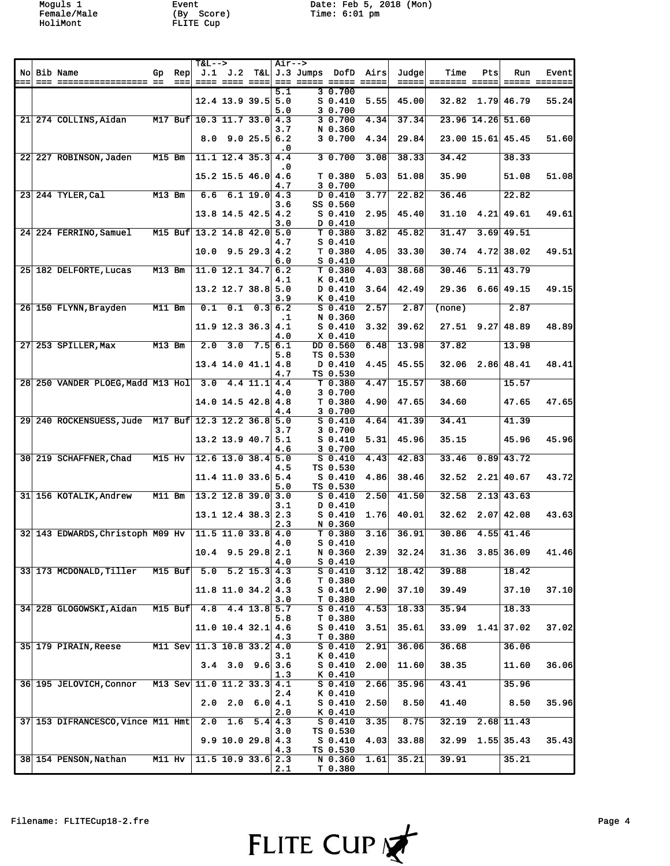HoliMont FLITE Cup

Moguls 1 Event Date: Feb 5, 2018 (Mon) Female/Male (By Score) Time: 6:01 pm

|  |                                                       |          |             | $T&L--$                           |                            |                 | $Air--$              |                 |                                 |                       |                 |        |              |                                                                |       |
|--|-------------------------------------------------------|----------|-------------|-----------------------------------|----------------------------|-----------------|----------------------|-----------------|---------------------------------|-----------------------|-----------------|--------|--------------|----------------------------------------------------------------|-------|
|  | No Bib Name                                           | Gp       | Rep<br>$==$ |                                   | J.1 J.2<br>==== ==== ====  |                 |                      | $T&L J.3$ Jumps | DofD                            | Airs<br>$= = = = = =$ | Judge <br>===== | Time   | Pts          | Run<br>$\begin{array}{cccccc} = & = & = & = & = & \end{array}$ | Event |
|  |                                                       |          |             |                                   |                            |                 | 5.1                  |                 | 30.700                          |                       |                 |        |              |                                                                |       |
|  |                                                       |          |             |                                   | $12.4$ 13.9 39.5 5.0       |                 | 5.0                  |                 | $S_0.410$<br>3 0.700            | 5.55                  | 45.00           |        |              | $32.82 \quad 1.79 \quad 46.79$                                 | 55.24 |
|  | 21 274 COLLINS, Aidan                                 |          |             | M17 Buf 10.3 11.7 33.0 4.3        |                            |                 | 3.7                  |                 | 30.700<br>N 0.360               | 4.34                  | 37.34           |        |              | 23.96 14.26 51.60                                              |       |
|  |                                                       |          |             | 8.0                               |                            | 9.025.56.2      |                      |                 | 3 0.700                         | 4.34                  | 29.84           |        |              | 23.00 15.61 45.45                                              | 51.60 |
|  | 22 227 ROBINSON, Jaden                                | $M15$ Bm |             |                                   | $11.1$ 12.4 35.3 4.4       |                 | $\cdot$ 0            |                 | 30.700                          | 3.08                  | 38.33           | 34.42  |              | 38.33                                                          |       |
|  |                                                       |          |             |                                   | $15.2$ 15.5 46.0 4.6       |                 | . 0                  |                 | T 0.380                         | 5.03                  | 51.08           | 35.90  |              | 51.08                                                          | 51.08 |
|  | 23 244 TYLER, Cal                                     | $M13$ Bm |             | 6.6                               |                            | $6.1$ 19.0 4.3  | 4.7                  |                 | 3 0.700<br>D 0.410              | 3.77                  | 22.82           | 36.46  |              | 22.82                                                          |       |
|  |                                                       |          |             |                                   | $13.8$ 14.5 42.5 4.2       |                 | 3.6                  |                 | SS 0.560<br>$S_0.410$           | 2.95                  | 45.40           | 31.10  |              | 4.21 49.61                                                     | 49.61 |
|  | 24 224 FERRINO, Samuel                                |          |             | M15 Buf $13.2$ 14.8 42.0 5.0      |                            |                 | 3.0                  |                 | D 0.410<br>T 0.380              | 3.82                  | 45.82           | 31.47  | 3.69         | 49.51                                                          |       |
|  |                                                       |          |             | 10.0                              |                            | $9.5$ 29.3 4.2  | 4.7                  |                 | $S_0.410$<br>T0.380             | 4.05                  | 33.30           | 30.74  |              | 4.72 38.02                                                     | 49.51 |
|  | 25 182 DELFORTE, Lucas                                | $M13$ Bm |             |                                   | $11.0$ 12.1 34.7 6.2       |                 | 6.0                  |                 | $S_0.410$<br>T <sub>0.380</sub> | 4.03                  | 38.68           | 30.46  |              | $5.11$ 43.79                                                   |       |
|  |                                                       |          |             |                                   | $13.2$ 12.7 38.8 5.0       |                 | 4.1<br>3.9           |                 | K 0.410<br>D 0.410<br>K 0.410   | 3.64                  | 42.49           | 29.36  |              | $6.66$ 49.15                                                   | 49.15 |
|  | 26 150 FLYNN, Brayden                                 | $M11$ Bm |             | 0.1                               | 0.1                        |                 | 0.3 6.2<br>$\cdot$ 1 |                 | $S_0.410$<br>N 0.360            | 2.57                  | 2.87            | (none) |              | 2.87                                                           |       |
|  |                                                       |          |             |                                   | $11.9$ 12.3 36.3 4.1       |                 | 4.0                  |                 | $S$ 0.410<br>$X$ 0.410          | 3.32                  | 39.62           | 27.51  | 9.27         | 48.89                                                          | 48.89 |
|  | 27 253 SPILLER, Max                                   | $M13$ Bm |             | 2.0                               |                            | $3.0$ $7.5$ 6.1 | 5.8                  |                 | DD 0.560<br>TS 0.530            | 6.48                  | 13.98           | 37.82  |              | 13.98                                                          |       |
|  |                                                       |          |             |                                   | $13.4$ 14.0 $41.1$ 4.8     |                 | 4.7                  |                 | D 0.410<br>TS 0.530             | 4.45                  | 45.55           |        |              | $32.06$ $2.86$ 48.41                                           | 48.41 |
|  | 28 250 VANDER PLOEG, Madd M13 Hol 3.0                 |          |             |                                   |                            | $4.4$ 11.1 4.4  | 4.0                  |                 | T 0.380<br>3 0.700              | 4.47                  | 15.57           | 38.60  |              | 15.57                                                          |       |
|  |                                                       |          |             |                                   | $14.0$ 14.5 42.8 4.8       |                 | 4.4                  |                 | T 0.380<br>3 0.700              | 4.90                  | 47.65           | 34.60  |              | 47.65                                                          | 47.65 |
|  | 29 240 ROCKENSUESS, Jude M17 Buf 12.3 12.2 36.8 5.0   |          |             |                                   |                            |                 | 3.7                  |                 | $S_0.410$<br>3 0.700            | 4.64                  | 41.39           | 34.41  |              | 41.39                                                          |       |
|  |                                                       |          |             |                                   | $13.2$ 13.9 40.7 5.1       |                 | 4.6                  |                 | $S_0.410$<br>3 0.700            | 5.31                  | 45.96           | 35.15  |              | 45.96                                                          | 45.96 |
|  | 30 219 SCHAFFNER, Chad                                | $M15$ Hv |             |                                   | $12.6$ 13.0 38.4 5.0       |                 | 4.5                  |                 | $S_0.410$<br>TS 0.530           | 4.43                  | 42.83           | 33.46  | 0.89         | 43.72                                                          |       |
|  |                                                       |          |             |                                   | $11.4$ 11.0 33.6 5.4       |                 | 5.0                  |                 | $S_0.410$<br>TS 0.530           | 4.86                  | 38.46           | 32.52  |              | 2.21   40.67                                                   | 43.72 |
|  | 31 156 KOTALIK, Andrew                                | $M11$ Bm |             |                                   | $13.2$ 12.8 39.0 3.0       |                 | 3.1                  |                 | $S_0.410$<br>D 0.410            | 2.50                  | 41.50           | 32.58  |              | $2.13$ 43.63                                                   |       |
|  |                                                       |          |             |                                   | $13.1$ $12.4$ $38.3$ $2.3$ |                 | 2.3                  |                 | $S_0.410$<br>N 0.360            | 1.76                  | 40.01           | 32.62  |              | $2.07$ 42.08                                                   | 43.63 |
|  | 32 143 EDWARDS, Christoph M09 Hv 11.5 11.0 33.8 4.0   |          |             |                                   |                            |                 | 4.0                  |                 | T0.380<br>$S_0$ 0.410           | 3.16                  | 36.91           | 30.86  |              | $4.55$ $41.46$                                                 |       |
|  |                                                       |          |             |                                   | $10.4$ 9.5 29.8 2.1        |                 | 4.0                  |                 | N 0.360<br>$S_0.410$            | 2.39                  | 32.24           |        |              | 31.36 3.85 36.09                                               | 41.46 |
|  | 33 173 MCDONALD, Tiller M15 Buf 5.0 5.2 15.3 4.3      |          |             |                                   |                            |                 | 3.6                  |                 | $S$ 0.410<br>T 0.380            | 3.12                  | 18.42           | 39.88  |              | 18.42                                                          |       |
|  |                                                       |          |             |                                   | $11.8$ 11.0 34.2 4.3       |                 | 3.0                  |                 | $S_0.410$<br>T 0.380            | 2.90                  | 37.10           | 39.49  |              | 37.10                                                          | 37.10 |
|  | 34 228 GLOGOWSKI, Aidan                               |          |             | M15 Buf $ 4.8 \t4.4 \t13.8   5.7$ |                            |                 | 5.8                  |                 | $S$ 0.410<br>T 0.380            | 4.53                  | 18.33           | 35.94  |              | 18.33                                                          |       |
|  |                                                       |          |             |                                   | $11.0$ 10.4 32.1 4.6       |                 | 4.3                  |                 | $S$ 0.410<br>T 0.380            | 3.51                  | 35.61           |        | $33.09$ 1.41 | 37.02                                                          | 37.02 |
|  | 35 179 PIRAIN, Reese                                  |          |             | M11 Sev 11.3 10.8 33.2 4.0        |                            |                 | 3.1                  |                 | $S$ 0.410<br>$K$ 0.410          | 2.91                  | 36.06           | 36.68  |              | 36.06                                                          |       |
|  |                                                       |          |             |                                   | $3.4$ $3.0$ $9.6$ 3.6      |                 | 1.3                  |                 | $S_0.410$<br>K 0.410            | 2.00                  | 11.60           | 38.35  |              | 11.60                                                          | 36.06 |
|  | 36 195 JELOVICH, Connor M13 Sev 11.0 11.2 33.3 4.1    |          |             |                                   |                            |                 | 2.4                  |                 | $S_0.410$<br>K 0.410            | 2.66                  | 35.96           | 43.41  |              | 35.96                                                          |       |
|  |                                                       |          |             |                                   | $2.0$ $2.0$ $6.0$ $4.1$    |                 | 2.0                  |                 | $S_0.410$<br>K 0.410            | 2.50                  | 8.50            | 41.40  |              | 8.50                                                           | 35.96 |
|  | $37 153$ DIFRANCESCO, Vince M11 Hmt $2.0$ 1.6 5.4 4.3 |          |             |                                   |                            |                 | 3.0                  |                 | $S$ 0.410<br>TS 0.530           | 3.35                  | 8.75            | 32.19  |              | $2.68$ 11.43                                                   |       |
|  |                                                       |          |             |                                   | 9.9 10.0 29.8 4.3          |                 | 4.3                  |                 | $S_0.410$<br>TS 0.530           | 4.03                  | 33.88           |        |              | $32.99$ 1.55 35.43                                             | 35.43 |
|  | 38 154 PENSON, Nathan                                 |          | $M11$ Hv    |                                   | $11.5$ 10.9 33.6 2.3       |                 | 2.1                  |                 | N 0.360<br>T 0.380              | 1.61                  | 35.21           | 39.91  |              | 35.21                                                          |       |